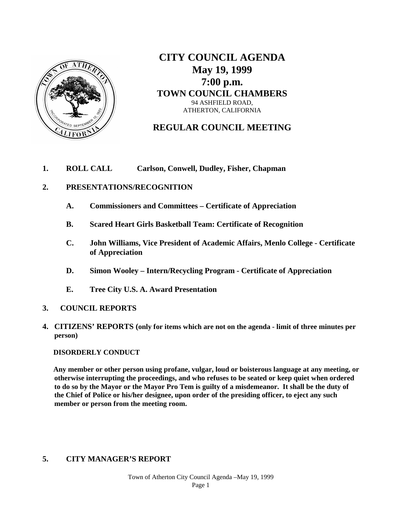

**CITY COUNCIL AGENDA May 19, 1999 7:00 p.m. TOWN COUNCIL CHAMBERS** 94 ASHFIELD ROAD, ATHERTON, CALIFORNIA

# **REGULAR COUNCIL MEETING**

## **1. ROLL CALL Carlson, Conwell, Dudley, Fisher, Chapman**

#### **2. PRESENTATIONS/RECOGNITION**

- **A. Commissioners and Committees – Certificate of Appreciation**
- **B. Scared Heart Girls Basketball Team: Certificate of Recognition**
- **C. John Williams, Vice President of Academic Affairs, Menlo College - Certificate of Appreciation**
- **D. Simon Wooley – Intern/Recycling Program - Certificate of Appreciation**
- **E. Tree City U.S. A. Award Presentation**
- **3. COUNCIL REPORTS**
- **4. CITIZENS' REPORTS (only for items which are not on the agenda - limit of three minutes per person)**

#### **DISORDERLY CONDUCT**

 **Any member or other person using profane, vulgar, loud or boisterous language at any meeting, or otherwise interrupting the proceedings, and who refuses to be seated or keep quiet when ordered to do so by the Mayor or the Mayor Pro Tem is guilty of a misdemeanor. It shall be the duty of the Chief of Police or his/her designee, upon order of the presiding officer, to eject any such member or person from the meeting room.** 

## **5. CITY MANAGER'S REPORT**

Town of Atherton City Council Agenda –May 19, 1999 Page 1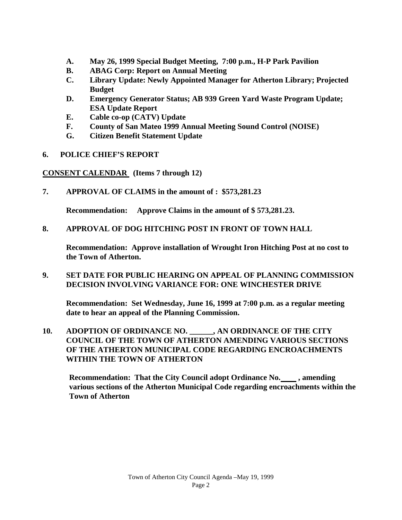- **A. May 26, 1999 Special Budget Meeting, 7:00 p.m., H-P Park Pavilion**
- **B. ABAG Corp: Report on Annual Meeting**
- **C. Library Update: Newly Appointed Manager for Atherton Library; Projected Budget**
- **D. Emergency Generator Status; AB 939 Green Yard Waste Program Update; ESA Update Report**
- **E. Cable co-op (CATV) Update**
- **F. County of San Mateo 1999 Annual Meeting Sound Control (NOISE)**
- **G. Citizen Benefit Statement Update**
- **6. POLICE CHIEF'S REPORT**

**CONSENT CALENDAR (Items 7 through 12)**

**7. APPROVAL OF CLAIMS in the amount of : \$573,281.23**

**Recommendation: Approve Claims in the amount of \$ 573,281.23.**

**8. APPROVAL OF DOG HITCHING POST IN FRONT OF TOWN HALL** 

**Recommendation: Approve installation of Wrought Iron Hitching Post at no cost to the Town of Atherton.** 

## **9. SET DATE FOR PUBLIC HEARING ON APPEAL OF PLANNING COMMISSION DECISION INVOLVING VARIANCE FOR: ONE WINCHESTER DRIVE**

**Recommendation: Set Wednesday, June 16, 1999 at 7:00 p.m. as a regular meeting date to hear an appeal of the Planning Commission.**

**10. ADOPTION OF ORDINANCE NO. \_\_\_\_\_\_, AN ORDINANCE OF THE CITY COUNCIL OF THE TOWN OF ATHERTON AMENDING VARIOUS SECTIONS OF THE ATHERTON MUNICIPAL CODE REGARDING ENCROACHMENTS WITHIN THE TOWN OF ATHERTON**

**Recommendation: That the City Council adopt Ordinance No. \_\_\_\_, amending various sections of the Atherton Municipal Code regarding encroachments within the Town of Atherton**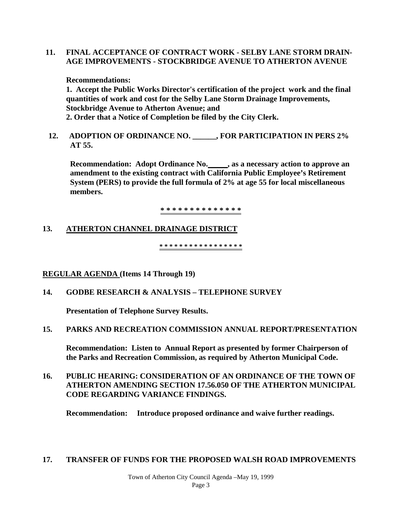### **11. FINAL ACCEPTANCE OF CONTRACT WORK - SELBY LANE STORM DRAIN-AGE IMPROVEMENTS - STOCKBRIDGE AVENUE TO ATHERTON AVENUE**

#### **Recommendations:**

**1. Accept the Public Works Director's certification of the project work and the final quantities of work and cost for the Selby Lane Storm Drainage Improvements, Stockbridge Avenue to Atherton Avenue; and 2. Order that a Notice of Completion be filed by the City Clerk.**

**12. ADOPTION OF ORDINANCE NO. \_\_\_\_\_\_, FOR PARTICIPATION IN PERS 2% AT 55.** 

**Recommendation: Adopt Ordinance No. , as a necessary action to approve an amendment to the existing contract with California Public Employee's Retirement System (PERS) to provide the full formula of 2% at age 55 for local miscellaneous members.**

**\* \* \* \* \* \* \* \* \* \* \* \* \* \*** 

## **13. ATHERTON CHANNEL DRAINAGE DISTRICT**

**\* \* \* \* \* \* \* \* \* \* \* \* \* \* \* \* \*** 

#### **REGULAR AGENDA (Items 14 Through 19)**

## **14. GODBE RESEARCH & ANALYSIS – TELEPHONE SURVEY**

**Presentation of Telephone Survey Results.** 

#### **15. PARKS AND RECREATION COMMISSION ANNUAL REPORT/PRESENTATION**

**Recommendation: Listen to Annual Report as presented by former Chairperson of the Parks and Recreation Commission, as required by Atherton Municipal Code.**

## **16. PUBLIC HEARING: CONSIDERATION OF AN ORDINANCE OF THE TOWN OF ATHERTON AMENDING SECTION 17.56.050 OF THE ATHERTON MUNICIPAL CODE REGARDING VARIANCE FINDINGS.**

**Recommendation: Introduce proposed ordinance and waive further readings.**

#### **17. TRANSFER OF FUNDS FOR THE PROPOSED WALSH ROAD IMPROVEMENTS**

Town of Atherton City Council Agenda –May 19, 1999 Page 3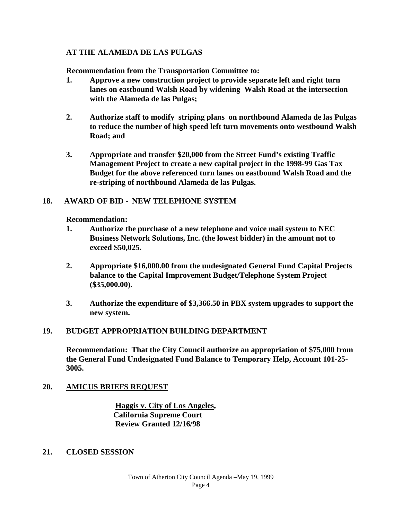## **AT THE ALAMEDA DE LAS PULGAS**

**Recommendation from the Transportation Committee to:**

- **1. Approve a new construction project to provide separate left and right turn lanes on eastbound Walsh Road by widening Walsh Road at the intersection with the Alameda de las Pulgas;**
- **2. Authorize staff to modify striping plans on northbound Alameda de las Pulgas to reduce the number of high speed left turn movements onto westbound Walsh Road; and**
- **3. Appropriate and transfer \$20,000 from the Street Fund's existing Traffic Management Project to create a new capital project in the 1998-99 Gas Tax Budget for the above referenced turn lanes on eastbound Walsh Road and the re-striping of northbound Alameda de las Pulgas.**

## **18. AWARD OF BID - NEW TELEPHONE SYSTEM**

### **Recommendation:**

- **1. Authorize the purchase of a new telephone and voice mail system to NEC Business Network Solutions, Inc. (the lowest bidder) in the amount not to exceed \$50,025.**
- **2. Appropriate \$16,000.00 from the undesignated General Fund Capital Projects balance to the Capital Improvement Budget/Telephone System Project (\$35,000.00).**
- **3. Authorize the expenditure of \$3,366.50 in PBX system upgrades to support the new system.**

## **19. BUDGET APPROPRIATION BUILDING DEPARTMENT**

**Recommendation: That the City Council authorize an appropriation of \$75,000 from the General Fund Undesignated Fund Balance to Temporary Help, Account 101-25- 3005.**

## **20. AMICUS BRIEFS REQUEST**

**Haggis v. City of Los Angeles, California Supreme Court Review Granted 12/16/98**

**21. CLOSED SESSION**